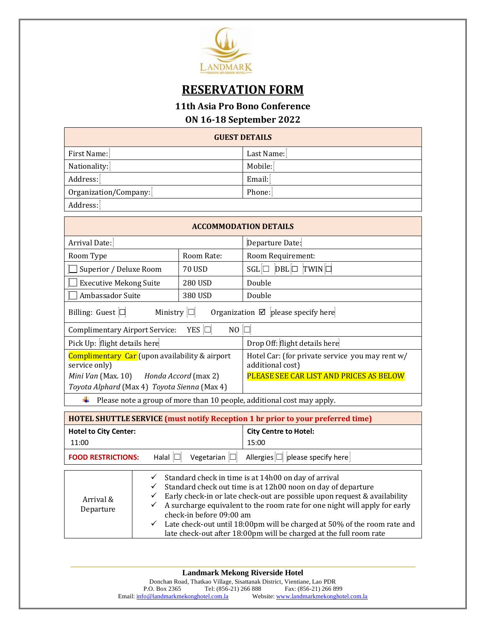

# **RESERVATION FORM**

### **11th Asia Pro Bono Conference**

### **ON 16-18 September 2022**

| <b>GUEST DETAILS</b>  |            |  |  |
|-----------------------|------------|--|--|
| First Name:           | Last Name: |  |  |
| Nationality:          | Mobile:    |  |  |
| Address:              | Email:     |  |  |
| Organization/Company: | Phone:     |  |  |
| Address:              |            |  |  |

| <b>ACCOMMODATION DETAILS</b>                                                               |                     |                                                                     |  |  |  |  |  |
|--------------------------------------------------------------------------------------------|---------------------|---------------------------------------------------------------------|--|--|--|--|--|
| Arrival Date:                                                                              |                     | Departure Date:                                                     |  |  |  |  |  |
| Room Type                                                                                  | Room Rate:          | Room Requirement:                                                   |  |  |  |  |  |
| Superior / Deluxe Room                                                                     | <b>70 USD</b>       | $SGL \Box$ DBL $\Box$ TWIN                                          |  |  |  |  |  |
| <b>Executive Mekong Suite</b>                                                              | <b>280 USD</b>      | Double                                                              |  |  |  |  |  |
| Ambassador Suite                                                                           | 380 USD             | Double                                                              |  |  |  |  |  |
| Organization $\boxtimes$ please specify here<br>Billing: Guest $\Box$<br>Ministry $ \Box $ |                     |                                                                     |  |  |  |  |  |
| <b>Complimentary Airport Service:</b>                                                      | YES $\Box$<br>NO C  |                                                                     |  |  |  |  |  |
| Pick Up: flight details here                                                               |                     | Drop Off: flight details here                                       |  |  |  |  |  |
| Complimentary Car (upon availability & airport<br>service only)                            |                     | Hotel Car: (for private service you may rent w/<br>additional cost) |  |  |  |  |  |
| Mini Van (Max. 10) Honda Accord (max 2)                                                    |                     | PLEASE SEE CAR LIST AND PRICES AS BELOW                             |  |  |  |  |  |
| Toyota Alphard (Max 4) Toyota Sienna (Max 4)                                               |                     |                                                                     |  |  |  |  |  |
| Please note a group of more than 10 people, additional cost may apply.                     |                     |                                                                     |  |  |  |  |  |
| <b>HOTEL SHUTTLE SERVICE (must notify Reception 1 hr prior to your preferred time)</b>     |                     |                                                                     |  |  |  |  |  |
| <b>Hotel to City Center:</b>                                                               |                     | <b>City Centre to Hotel:</b>                                        |  |  |  |  |  |
| 11:00                                                                                      |                     | 15:00                                                               |  |  |  |  |  |
| Halal $\Box$<br><b>FOOD RESTRICTIONS:</b>                                                  | Vegetarian $ \Box $ | Allergies $\Box$ please specify here                                |  |  |  |  |  |

| Arrival &<br>Departure | Standard check in time is at 14h00 on day of arrival<br>$\checkmark$<br>Standard check out time is at 12h00 noon on day of departure<br>$\checkmark$<br>Early check-in or late check-out are possible upon request & availability<br>$\checkmark$<br>A surcharge equivalent to the room rate for one night will apply for early<br>$\checkmark$<br>check-in before 09:00 am<br>Late check-out until 18:00pm will be charged at 50% of the room rate and<br>$\checkmark$<br>late check-out after 18:00pm will be charged at the full room rate |
|------------------------|-----------------------------------------------------------------------------------------------------------------------------------------------------------------------------------------------------------------------------------------------------------------------------------------------------------------------------------------------------------------------------------------------------------------------------------------------------------------------------------------------------------------------------------------------|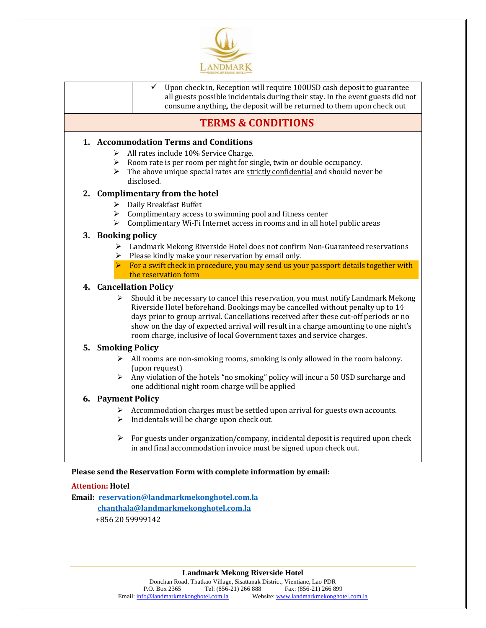

|                       | consume anything, the deposit will be returned to them upon check out                                                                                                                                                                                                                                                                                                                                                          |
|-----------------------|--------------------------------------------------------------------------------------------------------------------------------------------------------------------------------------------------------------------------------------------------------------------------------------------------------------------------------------------------------------------------------------------------------------------------------|
|                       | <b>TERMS &amp; CONDITIONS</b>                                                                                                                                                                                                                                                                                                                                                                                                  |
|                       | 1. Accommodation Terms and Conditions                                                                                                                                                                                                                                                                                                                                                                                          |
| ≻                     | All rates include 10% Service Charge.                                                                                                                                                                                                                                                                                                                                                                                          |
| ≻                     | Room rate is per room per night for single, twin or double occupancy.                                                                                                                                                                                                                                                                                                                                                          |
| ≻                     | The above unique special rates are strictly confidential and should never be<br>disclosed.                                                                                                                                                                                                                                                                                                                                     |
|                       | 2. Complimentary from the hotel                                                                                                                                                                                                                                                                                                                                                                                                |
| ≻                     | Daily Breakfast Buffet                                                                                                                                                                                                                                                                                                                                                                                                         |
|                       | $\triangleright$ Complimentary access to swimming pool and fitness center                                                                                                                                                                                                                                                                                                                                                      |
|                       | > Complimentary Wi-Fi Internet access in rooms and in all hotel public areas                                                                                                                                                                                                                                                                                                                                                   |
|                       | 3. Booking policy                                                                                                                                                                                                                                                                                                                                                                                                              |
| ≻                     | Landmark Mekong Riverside Hotel does not confirm Non-Guaranteed reservations                                                                                                                                                                                                                                                                                                                                                   |
|                       | $\triangleright$ Please kindly make your reservation by email only.<br>$\triangleright$ For a swift check in procedure, you may send us your passport details together with                                                                                                                                                                                                                                                    |
|                       | the reservation form                                                                                                                                                                                                                                                                                                                                                                                                           |
|                       | 4. Cancellation Policy                                                                                                                                                                                                                                                                                                                                                                                                         |
| ≻                     | Should it be necessary to cancel this reservation, you must notify Landmark Mekong<br>Riverside Hotel beforehand. Bookings may be cancelled without penalty up to 14<br>days prior to group arrival. Cancellations received after these cut-off periods or no<br>show on the day of expected arrival will result in a charge amounting to one night's<br>room charge, inclusive of local Government taxes and service charges. |
|                       | 5. Smoking Policy                                                                                                                                                                                                                                                                                                                                                                                                              |
| $\triangleright$      | All rooms are non-smoking rooms, smoking is only allowed in the room balcony.                                                                                                                                                                                                                                                                                                                                                  |
|                       | (upon request)                                                                                                                                                                                                                                                                                                                                                                                                                 |
| $\blacktriangleright$ | Any violation of the hotels "no smoking" policy will incur a 50 USD surcharge and<br>one additional night room charge will be applied                                                                                                                                                                                                                                                                                          |
|                       | 6. Payment Policy                                                                                                                                                                                                                                                                                                                                                                                                              |
| ➤                     | Accommodation charges must be settled upon arrival for guests own accounts.                                                                                                                                                                                                                                                                                                                                                    |
| $\blacktriangleright$ | Incidentals will be charge upon check out.                                                                                                                                                                                                                                                                                                                                                                                     |
| ➤                     | For guests under organization/company, incidental deposit is required upon check                                                                                                                                                                                                                                                                                                                                               |
|                       | in and final accommodation invoice must be signed upon check out.                                                                                                                                                                                                                                                                                                                                                              |

#### **Attention: Hotel**

**Email: [reservation@landmarkmekonghotel.com.la](mailto:reservation@landmarkmekonghotel.com.la) [chanthala@landmarkmekonghotel.com.l](mailto:chanthala@landmarkmekonghotel.com)a** +856 20 59999142